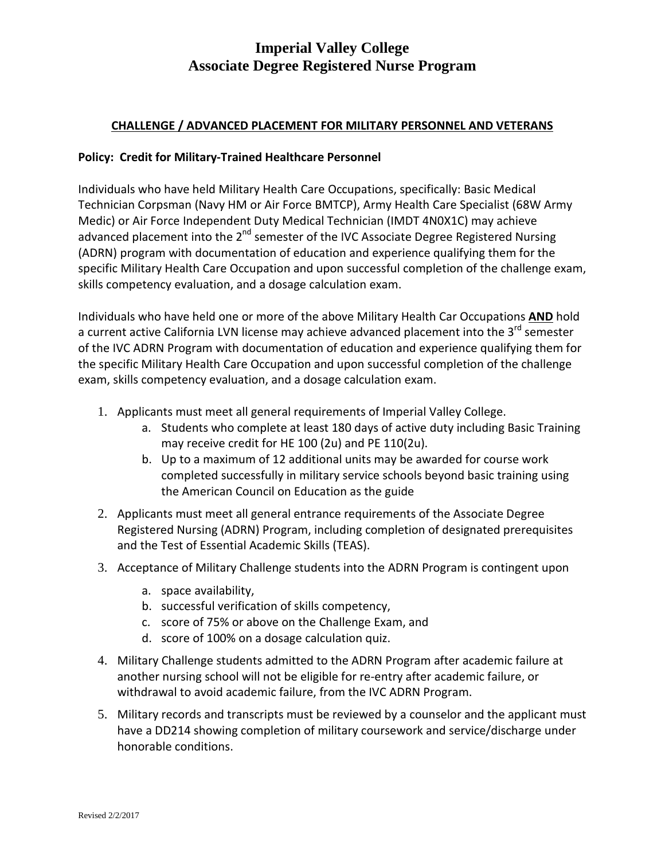# **Imperial Valley College Associate Degree Registered Nurse Program**

### **CHALLENGE / ADVANCED PLACEMENT FOR MILITARY PERSONNEL AND VETERANS**

#### **Policy: Credit for Military-Trained Healthcare Personnel**

Individuals who have held Military Health Care Occupations, specifically: Basic Medical Technician Corpsman (Navy HM or Air Force BMTCP), Army Health Care Specialist (68W Army Medic) or Air Force Independent Duty Medical Technician (IMDT 4N0X1C) may achieve advanced placement into the 2<sup>nd</sup> semester of the IVC Associate Degree Registered Nursing (ADRN) program with documentation of education and experience qualifying them for the specific Military Health Care Occupation and upon successful completion of the challenge exam, skills competency evaluation, and a dosage calculation exam.

Individuals who have held one or more of the above Military Health Car Occupations **AND** hold a current active California LVN license may achieve advanced placement into the 3<sup>rd</sup> semester of the IVC ADRN Program with documentation of education and experience qualifying them for the specific Military Health Care Occupation and upon successful completion of the challenge exam, skills competency evaluation, and a dosage calculation exam.

- 1. Applicants must meet all general requirements of Imperial Valley College.
	- a. Students who complete at least 180 days of active duty including Basic Training may receive credit for HE 100 (2u) and PE 110(2u).
	- b. Up to a maximum of 12 additional units may be awarded for course work completed successfully in military service schools beyond basic training using the American Council on Education as the guide
- 2. Applicants must meet all general entrance requirements of the Associate Degree Registered Nursing (ADRN) Program, including completion of designated prerequisites and the Test of Essential Academic Skills (TEAS).
- 3. Acceptance of Military Challenge students into the ADRN Program is contingent upon
	- a. space availability,
	- b. successful verification of skills competency,
	- c. score of 75% or above on the Challenge Exam, and
	- d. score of 100% on a dosage calculation quiz.
- 4. Military Challenge students admitted to the ADRN Program after academic failure at another nursing school will not be eligible for re-entry after academic failure, or withdrawal to avoid academic failure, from the IVC ADRN Program.
- 5. Military records and transcripts must be reviewed by a counselor and the applicant must have a DD214 showing completion of military coursework and service/discharge under honorable conditions.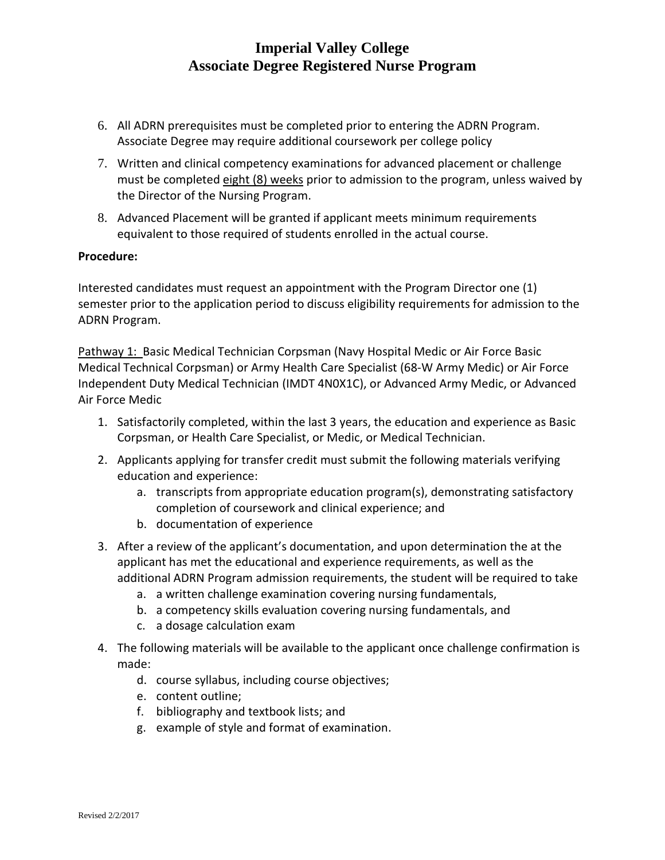# **Imperial Valley College Associate Degree Registered Nurse Program**

- 6. All ADRN prerequisites must be completed prior to entering the ADRN Program. Associate Degree may require additional coursework per college policy
- 7. Written and clinical competency examinations for advanced placement or challenge must be completed eight (8) weeks prior to admission to the program, unless waived by the Director of the Nursing Program.
- 8. Advanced Placement will be granted if applicant meets minimum requirements equivalent to those required of students enrolled in the actual course.

#### **Procedure:**

Interested candidates must request an appointment with the Program Director one (1) semester prior to the application period to discuss eligibility requirements for admission to the ADRN Program.

Pathway 1: Basic Medical Technician Corpsman (Navy Hospital Medic or Air Force Basic Medical Technical Corpsman) or Army Health Care Specialist (68-W Army Medic) or Air Force Independent Duty Medical Technician (IMDT 4N0X1C), or Advanced Army Medic, or Advanced Air Force Medic

- 1. Satisfactorily completed, within the last 3 years, the education and experience as Basic Corpsman, or Health Care Specialist, or Medic, or Medical Technician.
- 2. Applicants applying for transfer credit must submit the following materials verifying education and experience:
	- a. transcripts from appropriate education program(s), demonstrating satisfactory completion of coursework and clinical experience; and
	- b. documentation of experience
- 3. After a review of the applicant's documentation, and upon determination the at the applicant has met the educational and experience requirements, as well as the additional ADRN Program admission requirements, the student will be required to take
	- a. a written challenge examination covering nursing fundamentals,
	- b. a competency skills evaluation covering nursing fundamentals, and
	- c. a dosage calculation exam
- 4. The following materials will be available to the applicant once challenge confirmation is made:
	- d. course syllabus, including course objectives;
	- e. content outline;
	- f. bibliography and textbook lists; and
	- g. example of style and format of examination.